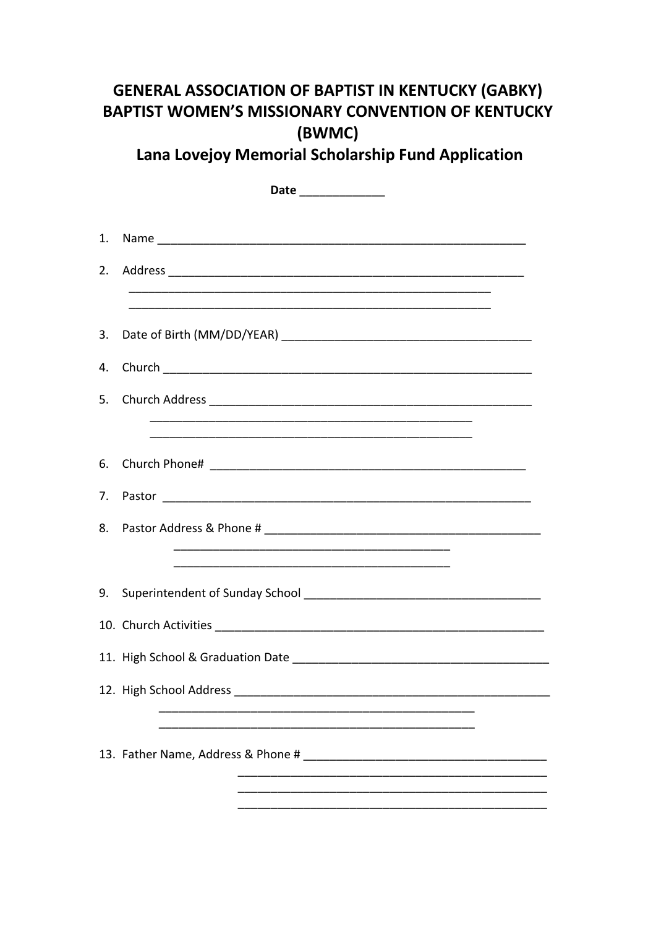## **GENERAL ASSOCIATION OF BAPTIST IN KENTUCKY (GABKY) BAPTIST WOMEN'S MISSIONARY CONVENTION OF KENTUCKY** (BWMC)

Lana Lovejoy Memorial Scholarship Fund Application

|    | Date ______________ |
|----|---------------------|
|    |                     |
| 1. |                     |
| 2. |                     |
|    |                     |
| 3. |                     |
| 4. |                     |
| 5. |                     |
|    |                     |
| 6. |                     |
|    |                     |
| 8. |                     |
|    |                     |
|    |                     |
|    |                     |
|    |                     |
|    |                     |
|    |                     |
|    |                     |
|    |                     |
|    |                     |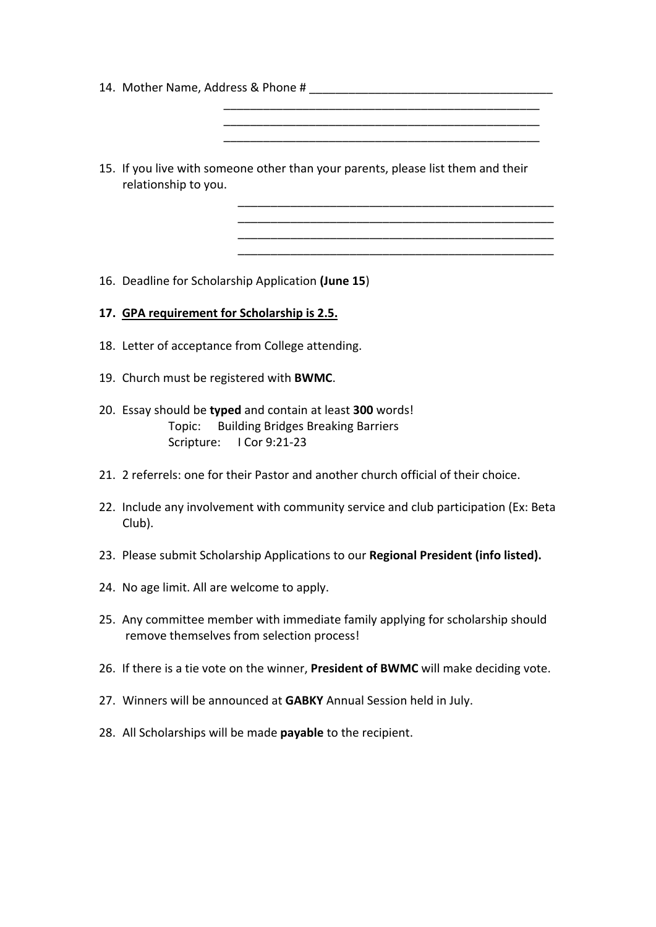- 14. Mother Name, Address & Phone # \_\_\_\_\_\_\_\_\_\_\_\_\_\_\_\_\_\_\_\_\_\_\_\_\_\_\_\_\_\_\_\_\_\_\_\_\_
- 15. If you live with someone other than your parents, please list them and their relationship to you.

 \_\_\_\_\_\_\_\_\_\_\_\_\_\_\_\_\_\_\_\_\_\_\_\_\_\_\_\_\_\_\_\_\_\_\_\_\_\_\_\_\_\_\_\_\_\_\_\_ \_\_\_\_\_\_\_\_\_\_\_\_\_\_\_\_\_\_\_\_\_\_\_\_\_\_\_\_\_\_\_\_\_\_\_\_\_\_\_\_\_\_\_\_\_\_\_\_ \_\_\_\_\_\_\_\_\_\_\_\_\_\_\_\_\_\_\_\_\_\_\_\_\_\_\_\_\_\_\_\_\_\_\_\_\_\_\_\_\_\_\_\_\_\_\_\_

\_\_\_\_\_\_\_\_\_\_\_\_\_\_\_\_\_\_\_\_\_\_\_\_\_\_\_\_\_\_\_\_\_\_\_\_\_\_\_\_\_\_\_\_\_\_\_\_ \_\_\_\_\_\_\_\_\_\_\_\_\_\_\_\_\_\_\_\_\_\_\_\_\_\_\_\_\_\_\_\_\_\_\_\_\_\_\_\_\_\_\_\_\_\_\_\_ \_\_\_\_\_\_\_\_\_\_\_\_\_\_\_\_\_\_\_\_\_\_\_\_\_\_\_\_\_\_\_\_\_\_\_\_\_\_\_\_\_\_\_\_\_\_\_\_ \_\_\_\_\_\_\_\_\_\_\_\_\_\_\_\_\_\_\_\_\_\_\_\_\_\_\_\_\_\_\_\_\_\_\_\_\_\_\_\_\_\_\_\_\_\_\_\_

16. Deadline for Scholarship Application **(June 15**)

- **17. GPA requirement for Scholarship is 2.5.**
- 18. Letter of acceptance from College attending.
- 19. Church must be registered with **BWMC**.
- 20. Essay should be **typed** and contain at least **300** words! Topic: Building Bridges Breaking Barriers Scripture: I Cor 9:21-23
- 21. 2 referrels: one for their Pastor and another church official of their choice.
- 22. Include any involvement with community service and club participation (Ex: Beta Club).
- 23. Please submit Scholarship Applications to our **Regional President (info listed).**
- 24. No age limit. All are welcome to apply.
- 25. Any committee member with immediate family applying for scholarship should remove themselves from selection process!
- 26. If there is a tie vote on the winner, **President of BWMC** will make deciding vote.
- 27. Winners will be announced at **GABKY** Annual Session held in July.
- 28. All Scholarships will be made **payable** to the recipient.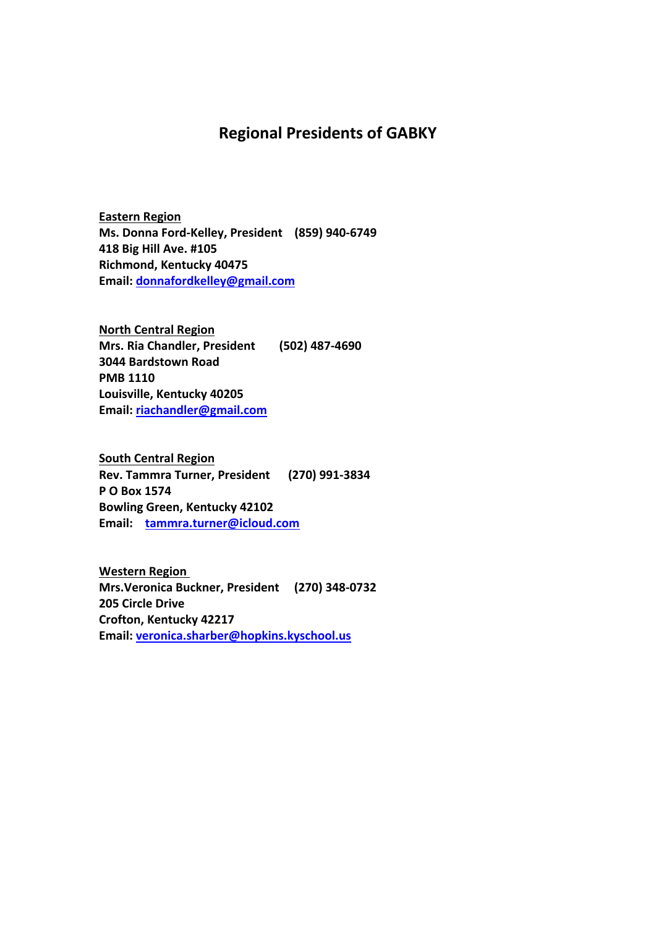## **Regional Presidents of GABKY**

**Eastern Region Ms. Donna Ford-Kelley, President (859) 940-6749 418 Big Hill Ave. #105 Richmond, Kentucky 40475 Email: donnafordkelley@gmail.com**

**North Central Region Mrs. Ria Chandler, President (502) 487-4690 3044 Bardstown Road PMB 1110 Louisville, Kentucky 40205 Email: riachandler@gmail.com**

**South Central Region Rev. Tammra Turner, President (270) 991-3834 P O Box 1574 Bowling Green, Kentucky 42102 Email: tammra.turner@icloud.com**

**Western Region Mrs.Veronica Buckner, President (270) 348-0732 205 Circle Drive Crofton, Kentucky 42217 Email: veronica.sharber@hopkins.kyschool.us**